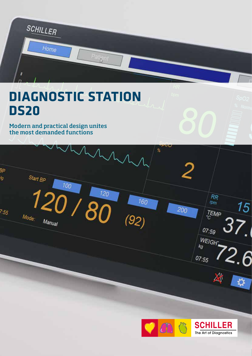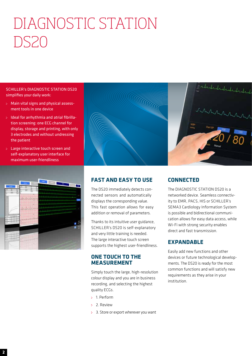# DIAGNOSTIC STATION DS20

SCHILLER's DIAGNOSTIC STATION DS20 simplifies your daily work:

- Main vital signs and physical assessment tools in one device
- Ideal for arrhythmia and atrial fibrillation screening: one ECG channel for display, storage and printing, with only 3 electrodes and without undressing the patient
- Large interactive touch screen and self-explanatory user interface for maximum user-friendliness





# **FAST AND EASY TO USE**

The DS20 immediately detects connected sensors and automatically displays the corresponding value. This fast operation allows for easy addition or removal of parameters.

Thanks to its intuitive user guidance, SCHILLER's DS20 is self-explanatory and very little training is needed. The large interactive touch screen supports the highest user-friendliness.

# **ONE TOUCH TO THE MEASUREMENT**

Simply touch the large, high-resolution colour display and you are in business recording, and selecting the highest quality ECGs.

- 1. Perform
- 2. Review
- 3. Store or export wherever you want

# **CONNECTED**

The DIAGNOSTIC STATION DS20 is a networked device. Seamless connectivity to EMR, PACS, HIS or SCHILLER's SEMA3 Cardiology Information System is possible and bidirectional communication allows for easy data access, while Wi-Fi with strong security enables direct and fast transmission.

# **EXPANDABLE**

Easily add new functions and other devices or future technological developments. The DS20 is ready for the most common functions and will satisfy new requirements as they arise in your institution.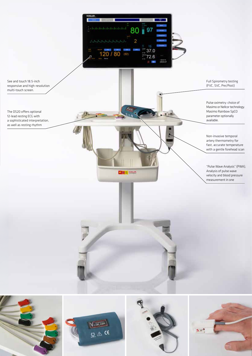